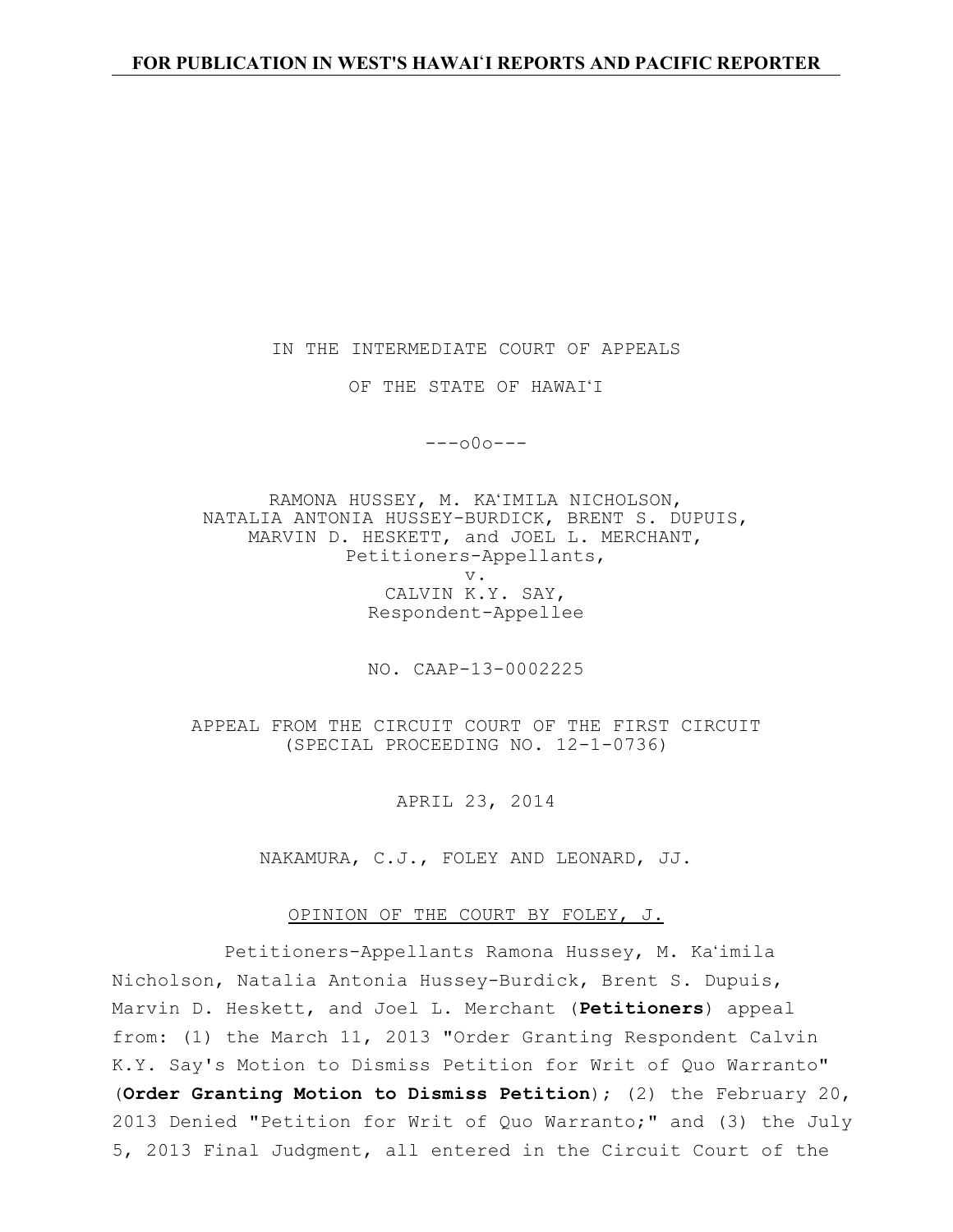IN THE INTERMEDIATE COURT OF APPEALS

OF THE STATE OF HAWAI'I

 $---000---$ 

RAMONA HUSSEY, M. KA'IMILA NICHOLSON, NATALIA ANTONIA HUSSEY-BURDICK, BRENT S. DUPUIS, MARVIN D. HESKETT, and JOEL L. MERCHANT, Petitioners-Appellants, v. CALVIN K.Y. SAY, Respondent-Appellee

NO. CAAP-13-0002225

APPEAL FROM THE CIRCUIT COURT OF THE FIRST CIRCUIT (SPECIAL PROCEEDING NO. 12-1-0736)

APRIL 23, 2014

NAKAMURA, C.J., FOLEY AND LEONARD, JJ.

OPINION OF THE COURT BY FOLEY, J.

Petitioners-Appellants Ramona Hussey, M. Ka'imila Nicholson, Natalia Antonia Hussey-Burdick, Brent S. Dupuis, Marvin D. Heskett, and Joel L. Merchant (**Petitioners**) appeal from: (1) the March 11, 2013 "Order Granting Respondent Calvin K.Y. Say's Motion to Dismiss Petition for Writ of Quo Warranto" (**Order Granting Motion to Dismiss Petition**); (2) the February 20, 2013 Denied "Petition for Writ of Quo Warranto;" and (3) the July 5, 2013 Final Judgment, all entered in the Circuit Court of the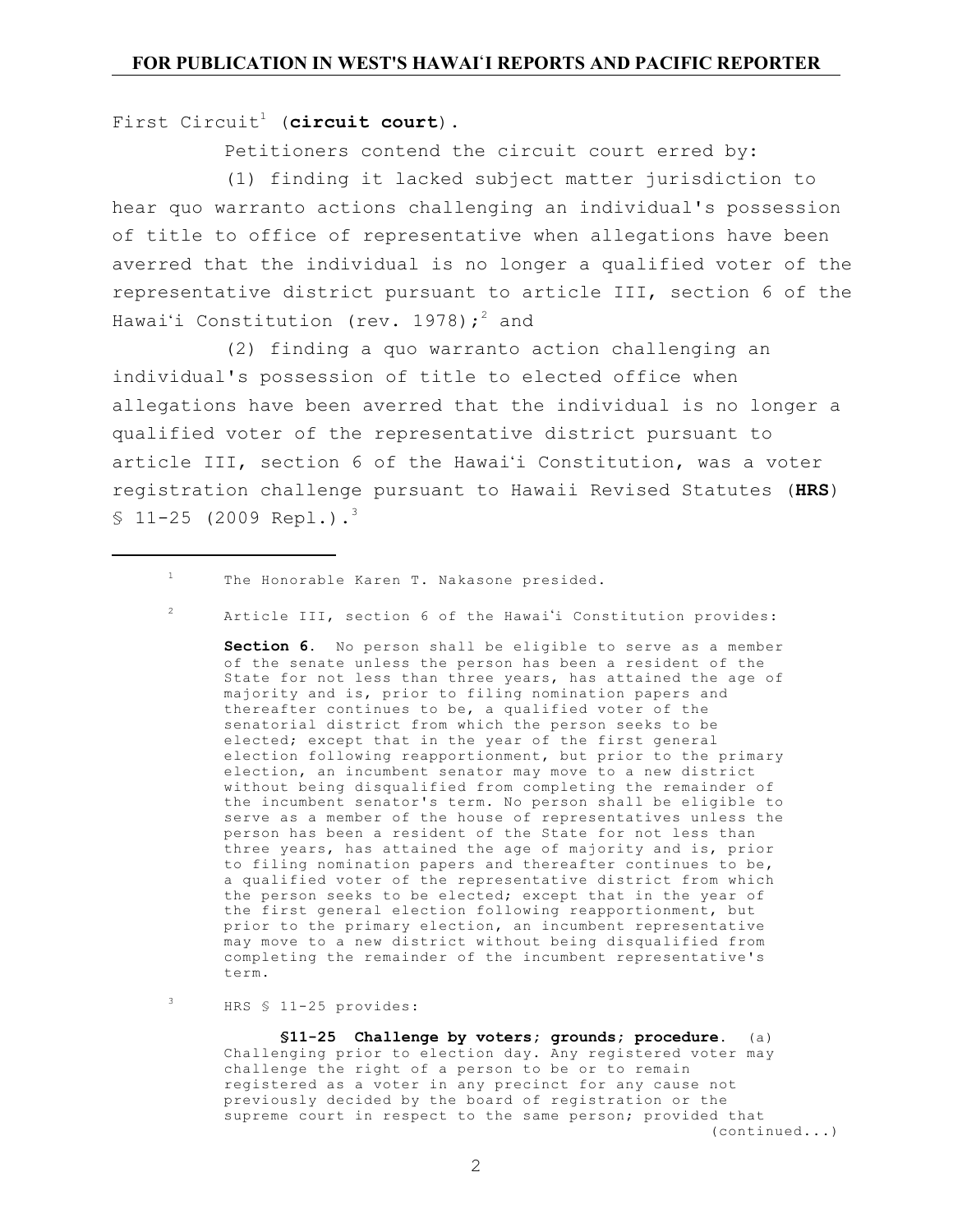First Circuit<sup>1</sup> (circuit court).

Petitioners contend the circuit court erred by:

(1) finding it lacked subject matter jurisdiction to hear quo warranto actions challenging an individual's possession of title to office of representative when allegations have been averred that the individual is no longer a qualified voter of the representative district pursuant to article III, section 6 of the Hawaiʻi Constitution (rev. 1978); $^2$  and

(2) finding a quo warranto action challenging an individual's possession of title to elected office when allegations have been averred that the individual is no longer a qualified voter of the representative district pursuant to article III, section 6 of the Hawai'i Constitution, was a voter registration challenge pursuant to Hawaii Revised Statutes (**HRS**)  $$11-25$  (2009 Repl.).<sup>3</sup>

 $\,1\,$ The Honorable Karen T. Nakasone presided.

<sup>2</sup> Article III, section 6 of the Hawai'i Constitution provides:

**Section 6**. No person shall be eligible to serve as a member of the senate unless the person has been a resident of the State for not less than three years, has attained the age of majority and is, prior to filing nomination papers and thereafter continues to be, a qualified voter of the senatorial district from which the person seeks to be elected; except that in the year of the first general election following reapportionment, but prior to the primary election, an incumbent senator may move to a new district without being disqualified from completing the remainder of the incumbent senator's term. No person shall be eligible to serve as a member of the house of representatives unless the person has been a resident of the State for not less than three years, has attained the age of majority and is, prior to filing nomination papers and thereafter continues to be, a qualified voter of the representative district from which the person seeks to be elected; except that in the year of the first general election following reapportionment, but prior to the primary election, an incumbent representative may move to a new district without being disqualified from completing the remainder of the incumbent representative's term.

HRS § 11-25 provides:

3

**§11-25 Challenge by voters; grounds; procedure**. (a) Challenging prior to election day. Any registered voter may challenge the right of a person to be or to remain registered as a voter in any precinct for any cause not previously decided by the board of registration or the supreme court in respect to the same person; provided that (continued...)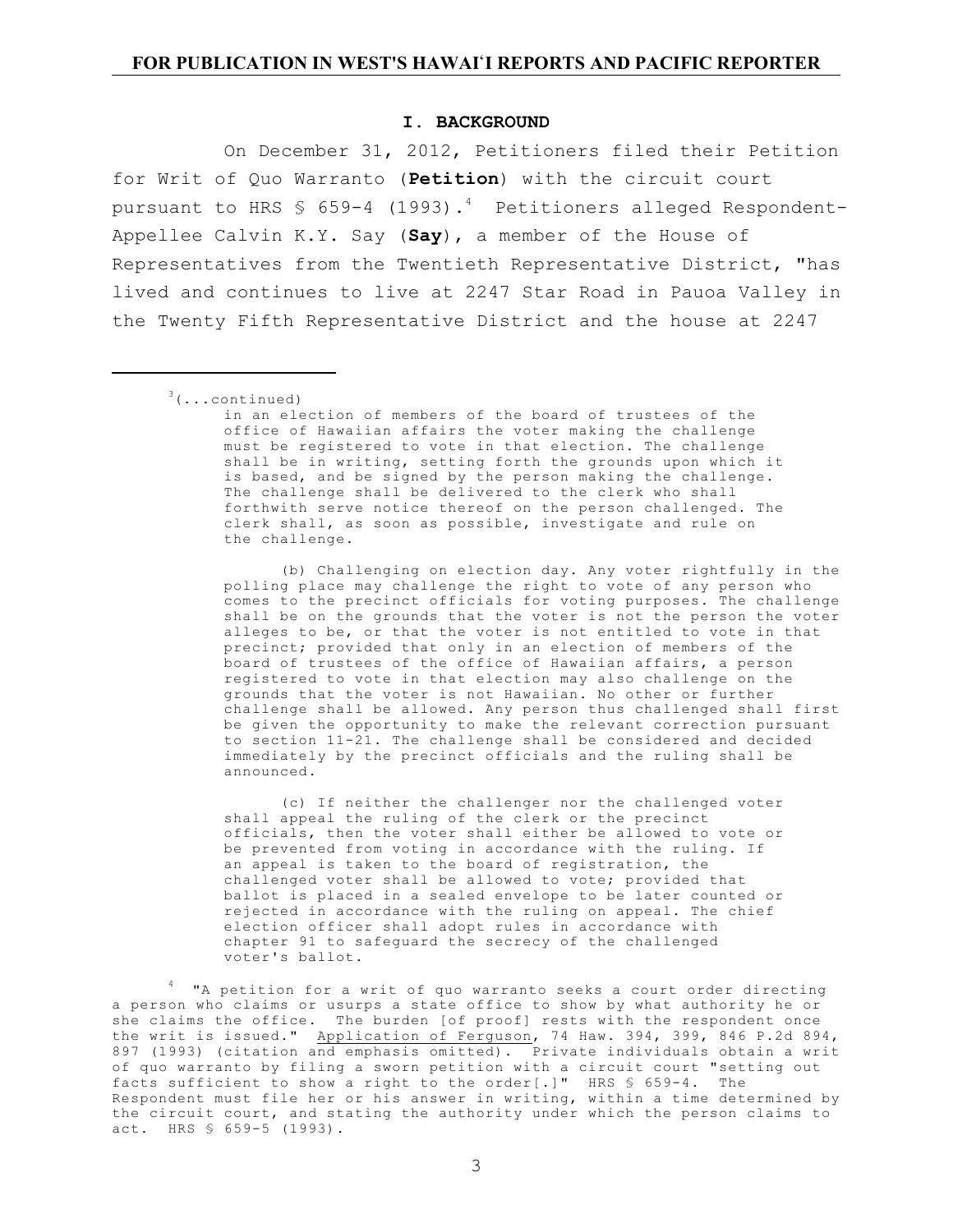#### **I. BACKGROUND**

On December 31, 2012, Petitioners filed their Petition for Writ of Quo Warranto (**Petition**) with the circuit court pursuant to HRS § 659-4 (1993). $^4$  Petitioners alleged Respondent-Appellee Calvin K.Y. Say (**Say**), a member of the House of Representatives from the Twentieth Representative District, "has lived and continues to live at 2247 Star Road in Pauoa Valley in the Twenty Fifth Representative District and the house at 2247

in an election of members of the board of trustees of the office of Hawaiian affairs the voter making the challenge must be registered to vote in that election. The challenge shall be in writing, setting forth the grounds upon which it is based, and be signed by the person making the challenge. The challenge shall be delivered to the clerk who shall forthwith serve notice thereof on the person challenged. The clerk shall, as soon as possible, investigate and rule on the challenge.

(b) Challenging on election day. Any voter rightfully in the polling place may challenge the right to vote of any person who comes to the precinct officials for voting purposes. The challenge shall be on the grounds that the voter is not the person the voter alleges to be, or that the voter is not entitled to vote in that precinct; provided that only in an election of members of the board of trustees of the office of Hawaiian affairs, a person registered to vote in that election may also challenge on the grounds that the voter is not Hawaiian. No other or further challenge shall be allowed. Any person thus challenged shall first be given the opportunity to make the relevant correction pursuant to section 11-21. The challenge shall be considered and decided immediately by the precinct officials and the ruling shall be announced.

(c) If neither the challenger nor the challenged voter shall appeal the ruling of the clerk or the precinct officials, then the voter shall either be allowed to vote or be prevented from voting in accordance with the ruling. If an appeal is taken to the board of registration, the challenged voter shall be allowed to vote; provided that ballot is placed in a sealed envelope to be later counted or rejected in accordance with the ruling on appeal. The chief election officer shall adopt rules in accordance with chapter 91 to safeguard the secrecy of the challenged voter's ballot.

the writ is issued." <u>Application of Ferguson</u>, 74 Haw. 394, 399, 846 P.2d 894,<br>897 (1993) (citation and emphasis omitted). Private individuals obtain a writ 4 "A petition for a writ of quo warranto seeks a court order directing a person who claims or usurps a state office to show by what authority he or she claims the office. The burden [of proof] rests with the respondent once of quo warranto by filing a sworn petition with a circuit court "setting out facts sufficient to show a right to the order[.]" HRS § 659-4. The Respondent must file her or his answer in writing, within a time determined by the circuit court, and stating the authority under which the person claims to act. HRS § 659-5 (1993).

 $3(\ldots$ continued)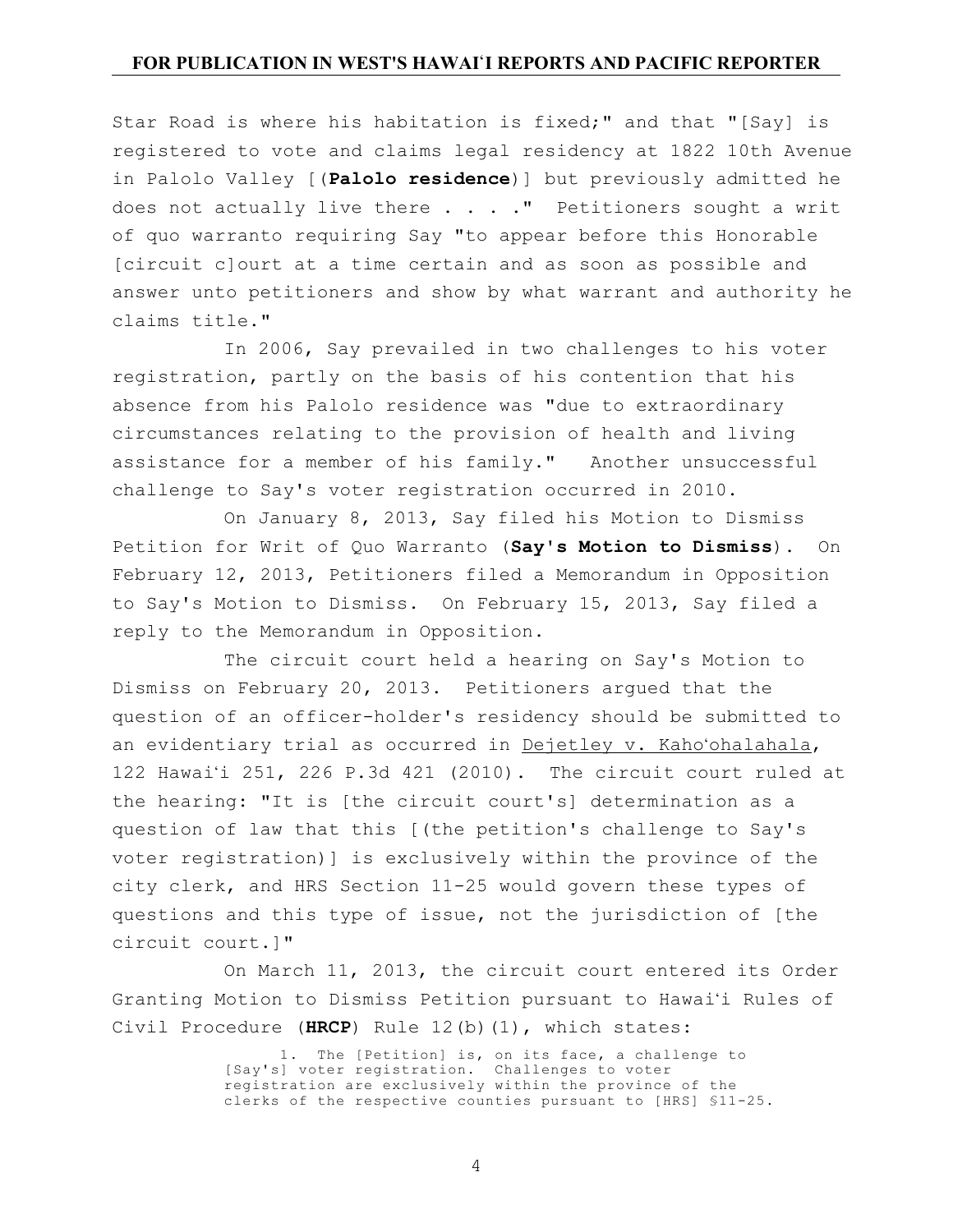Star Road is where his habitation is fixed;" and that "[Say] is registered to vote and claims legal residency at 1822 10th Avenue in Palolo Valley [(**Palolo residence**)] but previously admitted he does not actually live there  $\ldots$  . . " Petitioners sought a writ of quo warranto requiring Say "to appear before this Honorable [circuit c]ourt at a time certain and as soon as possible and answer unto petitioners and show by what warrant and authority he claims title."

In 2006, Say prevailed in two challenges to his voter registration, partly on the basis of his contention that his absence from his Palolo residence was "due to extraordinary circumstances relating to the provision of health and living assistance for a member of his family." Another unsuccessful challenge to Say's voter registration occurred in 2010.

On January 8, 2013, Say filed his Motion to Dismiss Petition for Writ of Quo Warranto (**Say's Motion to Dismiss**). On February 12, 2013, Petitioners filed a Memorandum in Opposition to Say's Motion to Dismiss. On February 15, 2013, Say filed a reply to the Memorandum in Opposition.

The circuit court held a hearing on Say's Motion to Dismiss on February 20, 2013. Petitioners argued that the question of an officer-holder's residency should be submitted to an evidentiary trial as occurred in Dejetley v. Kaho'ohalahala, 122 Hawai'i 251, 226 P.3d 421 (2010). The circuit court ruled at the hearing: "It is [the circuit court's] determination as a question of law that this [(the petition's challenge to Say's voter registration)] is exclusively within the province of the city clerk, and HRS Section 11-25 would govern these types of questions and this type of issue, not the jurisdiction of [the circuit court.]"

On March 11, 2013, the circuit court entered its Order Granting Motion to Dismiss Petition pursuant to Hawai'i Rules of Civil Procedure (**HRCP**) Rule 12(b)(1), which states:

> 1. The [Petition] is, on its face, a challenge to [Say's] voter registration. Challenges to voter registration are exclusively within the province of the clerks of the respective counties pursuant to [HRS] §11-25.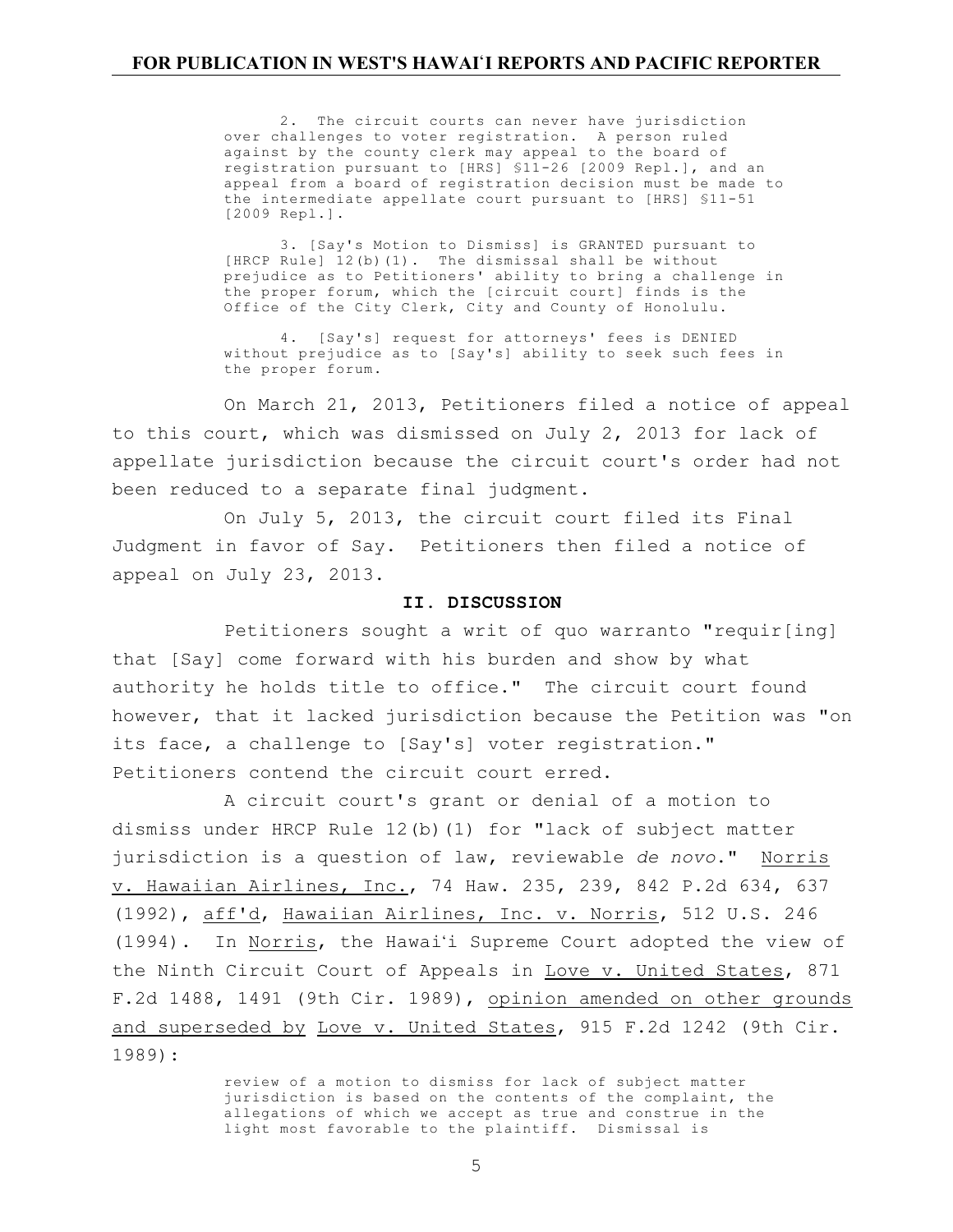2. The circuit courts can never have jurisdiction over challenges to voter registration. A person ruled against by the county clerk may appeal to the board of registration pursuant to [HRS] §11-26 [2009 Repl.], and an appeal from a board of registration decision must be made to the intermediate appellate court pursuant to [HRS] §11-51 [2009 Repl.].

3. [Say's Motion to Dismiss] is GRANTED pursuant to [HRCP Rule] 12(b)(1). The dismissal shall be without prejudice as to Petitioners' ability to bring a challenge in the proper forum, which the [circuit court] finds is the Office of the City Clerk, City and County of Honolulu.

4. [Say's] request for attorneys' fees is DENIED without prejudice as to [Say's] ability to seek such fees in the proper forum.

On March 21, 2013, Petitioners filed a notice of appeal to this court, which was dismissed on July 2, 2013 for lack of appellate jurisdiction because the circuit court's order had not been reduced to a separate final judgment.

On July 5, 2013, the circuit court filed its Final Judgment in favor of Say. Petitioners then filed a notice of appeal on July 23, 2013.

### **II. DISCUSSION**

Petitioners sought a writ of quo warranto "requir[ing] that [Say] come forward with his burden and show by what authority he holds title to office." The circuit court found however, that it lacked jurisdiction because the Petition was "on its face, a challenge to [Say's] voter registration." Petitioners contend the circuit court erred.

A circuit court's grant or denial of a motion to dismiss under HRCP Rule 12(b)(1) for "lack of subject matter jurisdiction is a question of law, reviewable *de novo*." Norris v. Hawaiian Airlines, Inc., 74 Haw. 235, 239, 842 P.2d 634, 637 (1992), aff'd, Hawaiian Airlines, Inc. v. Norris, 512 U.S. 246 (1994). In Norris, the Hawai'i Supreme Court adopted the view of the Ninth Circuit Court of Appeals in Love v. United States, 871 F.2d 1488, 1491 (9th Cir. 1989), opinion amended on other grounds and superseded by Love v. United States, 915 F.2d 1242 (9th Cir. 1989):

> review of a motion to dismiss for lack of subject matter jurisdiction is based on the contents of the complaint, the allegations of which we accept as true and construe in the light most favorable to the plaintiff. Dismissal is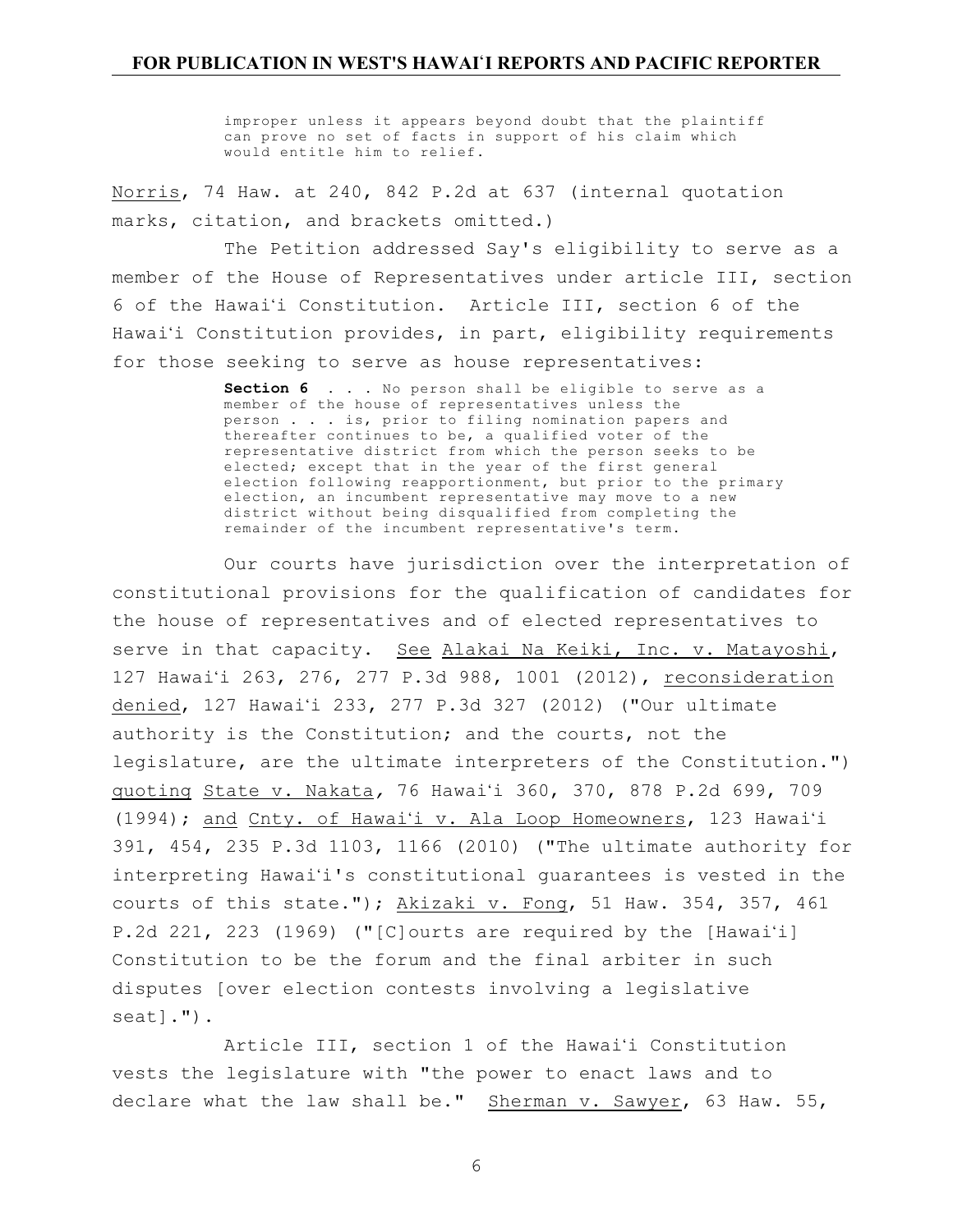improper unless it appears beyond doubt that the plaintiff can prove no set of facts in support of his claim which would entitle him to relief.

Norris, 74 Haw. at 240, 842 P.2d at 637 (internal quotation marks, citation, and brackets omitted.)

The Petition addressed Say's eligibility to serve as a member of the House of Representatives under article III, section 6 of the Hawai'i Constitution. Article III, section 6 of the Hawai'i Constitution provides, in part, eligibility requirements for those seeking to serve as house representatives:

> **Section 6** . . . No person shall be eligible to serve as a member of the house of representatives unless the person . . . is, prior to filing nomination papers and thereafter continues to be, a qualified voter of the representative district from which the person seeks to be elected; except that in the year of the first general election following reapportionment, but prior to the primary election, an incumbent representative may move to a new district without being disqualified from completing the remainder of the incumbent representative's term.

Our courts have jurisdiction over the interpretation of constitutional provisions for the qualification of candidates for the house of representatives and of elected representatives to serve in that capacity. See Alakai Na Keiki, Inc. v. Matayoshi, 127 Hawai'i 263, 276, 277 P.3d 988, 1001 (2012), reconsideration denied, 127 Hawai'i 233, 277 P.3d 327 (2012) ("Our ultimate authority is the Constitution; and the courts, not the legislature, are the ultimate interpreters of the Constitution.") quoting State v. Nakata*,* 76 Hawai'i 360, 370, 878 P.2d 699, 709 (1994); and Cnty. of Hawai'i v. Ala Loop Homeowners, 123 Hawai'i 391, 454, 235 P.3d 1103, 1166 (2010) ("The ultimate authority for interpreting Hawai'i's constitutional guarantees is vested in the courts of this state."); Akizaki v. Fong, 51 Haw. 354, 357, 461 P.2d 221, 223 (1969) ("[C]ourts are required by the [Hawai'i] Constitution to be the forum and the final arbiter in such disputes [over election contests involving a legislative seat].").

Article III, section 1 of the Hawai'i Constitution vests the legislature with "the power to enact laws and to declare what the law shall be." Sherman v. Sawyer, 63 Haw. 55,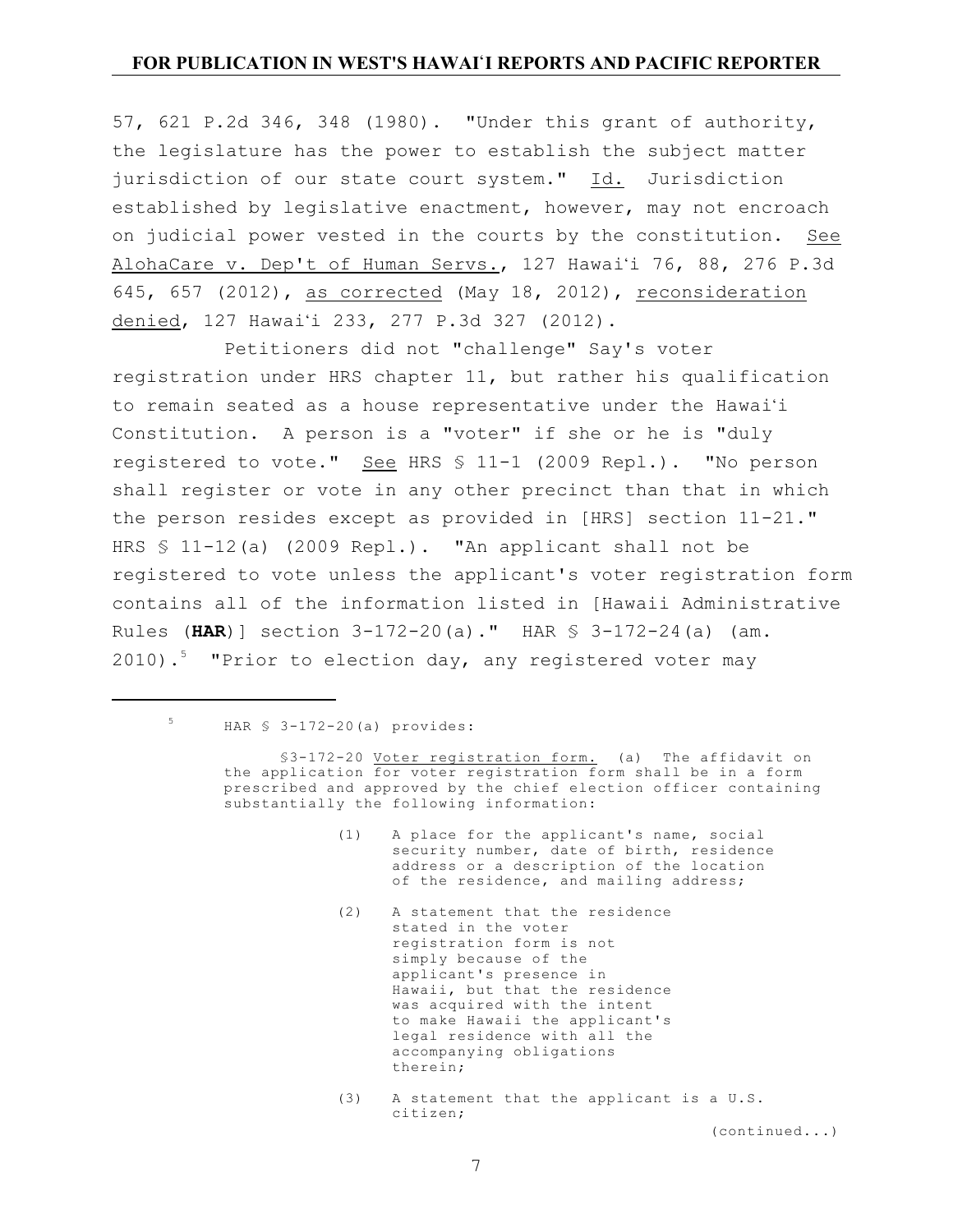57, 621 P.2d 346, 348 (1980). "Under this grant of authority, the legislature has the power to establish the subject matter jurisdiction of our state court system." Id. Jurisdiction established by legislative enactment, however, may not encroach on judicial power vested in the courts by the constitution. See AlohaCare v. Dep't of Human Servs., 127 Hawai'i 76, 88, 276 P.3d 645, 657 (2012), as corrected (May 18, 2012), reconsideration denied, 127 Hawai'i 233, 277 P.3d 327 (2012).

Petitioners did not "challenge" Say's voter registration under HRS chapter 11, but rather his qualification to remain seated as a house representative under the Hawai'i Constitution. A person is a "voter" if she or he is "duly registered to vote." See HRS § 11-1 (2009 Repl.). "No person shall register or vote in any other precinct than that in which the person resides except as provided in [HRS] section 11-21." HRS § 11-12(a) (2009 Repl.). "An applicant shall not be registered to vote unless the applicant's voter registration form contains all of the information listed in [Hawaii Administrative Rules (**HAR**)] section 3-172-20(a)." HAR § 3-172-24(a) (am. 2010).<sup>5</sup> "Prior to election day, any registered voter may

# $5$  HAR  $$ 3-172-20(a)$  provides:

§3-172-20 Voter registration form. (a) The affidavit on the application for voter registration form shall be in a form prescribed and approved by the chief election officer containing substantially the following information:

- (1) A place for the applicant's name, social security number, date of birth, residence address or a description of the location of the residence, and mailing address;
- (2) A statement that the residence stated in the voter registration form is not simply because of the applicant's presence in Hawaii, but that the residence was acquired with the intent to make Hawaii the applicant's legal residence with all the accompanying obligations therein;
- (3) A statement that the applicant is a U.S. citizen;

(continued...)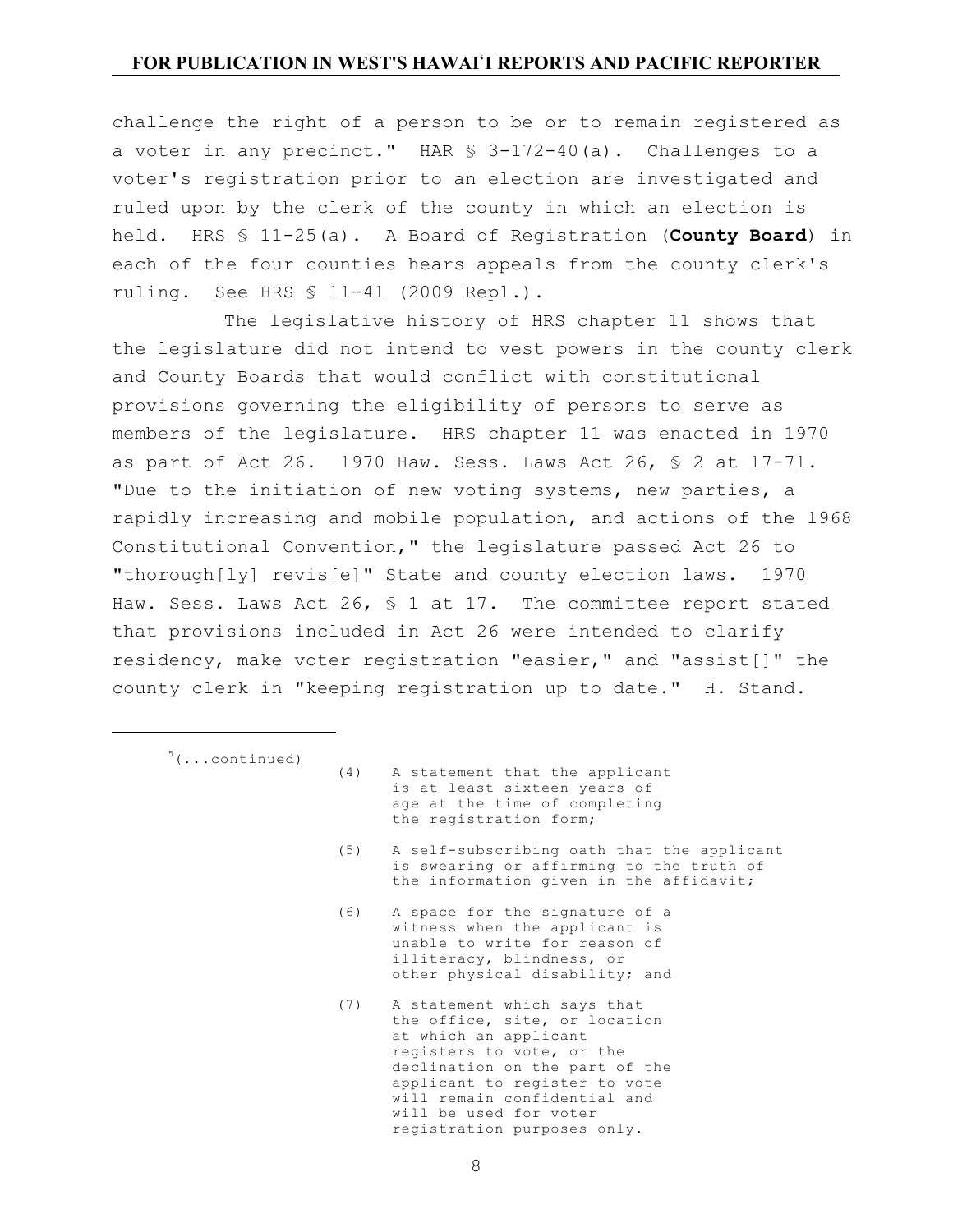challenge the right of a person to be or to remain registered as a voter in any precinct." HAR § 3-172-40(a). Challenges to a voter's registration prior to an election are investigated and ruled upon by the clerk of the county in which an election is held. HRS § 11-25(a). A Board of Registration (**County Board**) in each of the four counties hears appeals from the county clerk's ruling. See HRS § 11-41 (2009 Repl.).

The legislative history of HRS chapter 11 shows that the legislature did not intend to vest powers in the county clerk and County Boards that would conflict with constitutional provisions governing the eligibility of persons to serve as members of the legislature. HRS chapter 11 was enacted in 1970 as part of Act 26. 1970 Haw. Sess. Laws Act 26, § 2 at 17-71. "Due to the initiation of new voting systems, new parties, a rapidly increasing and mobile population, and actions of the 1968 Constitutional Convention," the legislature passed Act 26 to "thorough[ly] revis[e]" State and county election laws. 1970 Haw. Sess. Laws Act 26,  $\frac{1}{5}$  1 at 17. The committee report stated that provisions included in Act 26 were intended to clarify residency, make voter registration "easier," and "assist[]" the county clerk in "keeping registration up to date." H. Stand.

- $5(\ldots$ continued)
- (4) A statement that the applicant is at least sixteen years of age at the time of completing the registration form;
- (5) A self-subscribing oath that the applicant is swearing or affirming to the truth of the information given in the affidavit;
- (6) A space for the signature of a witness when the applicant is unable to write for reason of illiteracy, blindness, or other physical disability; and
- (7) A statement which says that the office, site, or location at which an applicant registers to vote, or the declination on the part of the applicant to register to vote will remain confidential and will be used for voter registration purposes only.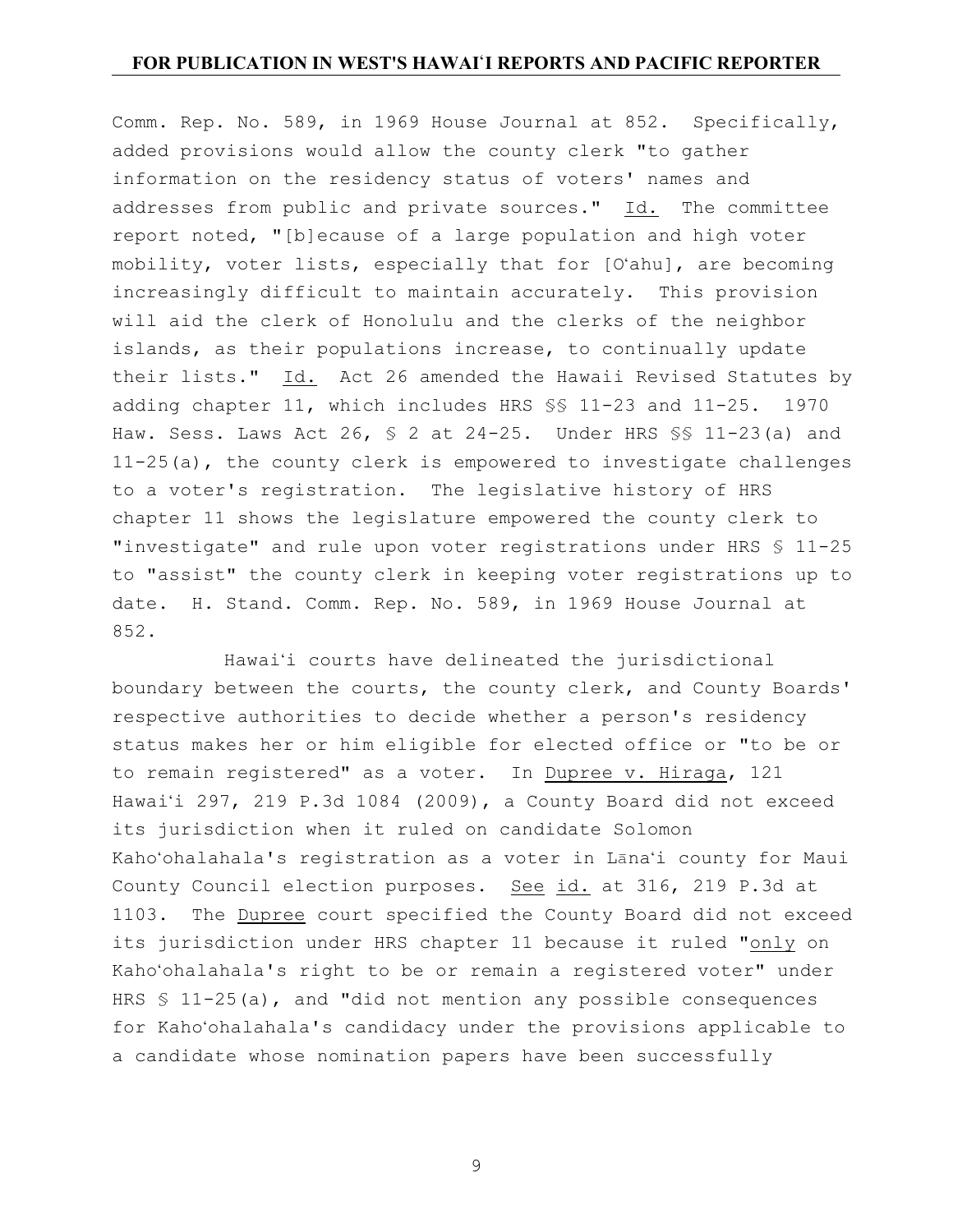Comm. Rep. No. 589, in 1969 House Journal at 852. Specifically, added provisions would allow the county clerk "to gather information on the residency status of voters' names and addresses from public and private sources." Id. The committee report noted, "[b]ecause of a large population and high voter mobility, voter lists, especially that for [O'ahu], are becoming increasingly difficult to maintain accurately. This provision will aid the clerk of Honolulu and the clerks of the neighbor islands, as their populations increase, to continually update their lists." Id. Act 26 amended the Hawaii Revised Statutes by adding chapter 11, which includes HRS §§ 11-23 and 11-25. 1970 Haw. Sess. Laws Act 26, § 2 at 24-25. Under HRS §§ 11-23(a) and 11-25(a), the county clerk is empowered to investigate challenges to a voter's registration. The legislative history of HRS chapter 11 shows the legislature empowered the county clerk to "investigate" and rule upon voter registrations under HRS § 11-25 to "assist" the county clerk in keeping voter registrations up to date. H. Stand. Comm. Rep. No. 589, in 1969 House Journal at 852.

Hawai'i courts have delineated the jurisdictional boundary between the courts, the county clerk, and County Boards' respective authorities to decide whether a person's residency status makes her or him eligible for elected office or "to be or to remain registered" as a voter. In Dupree v. Hiraga, 121 Hawai'i 297, 219 P.3d 1084 (2009), a County Board did not exceed its jurisdiction when it ruled on candidate Solomon Kaho'ohalahala's registration as a voter in Lana'i county for Maui County Council election purposes. See id. at 316, 219 P.3d at 1103. The Dupree court specified the County Board did not exceed its jurisdiction under HRS chapter 11 because it ruled "only on Kaho'ohalahala's right to be or remain a registered voter" under HRS  $$ 11-25(a)$ , and "did not mention any possible consequences for Kaho'ohalahala's candidacy under the provisions applicable to a candidate whose nomination papers have been successfully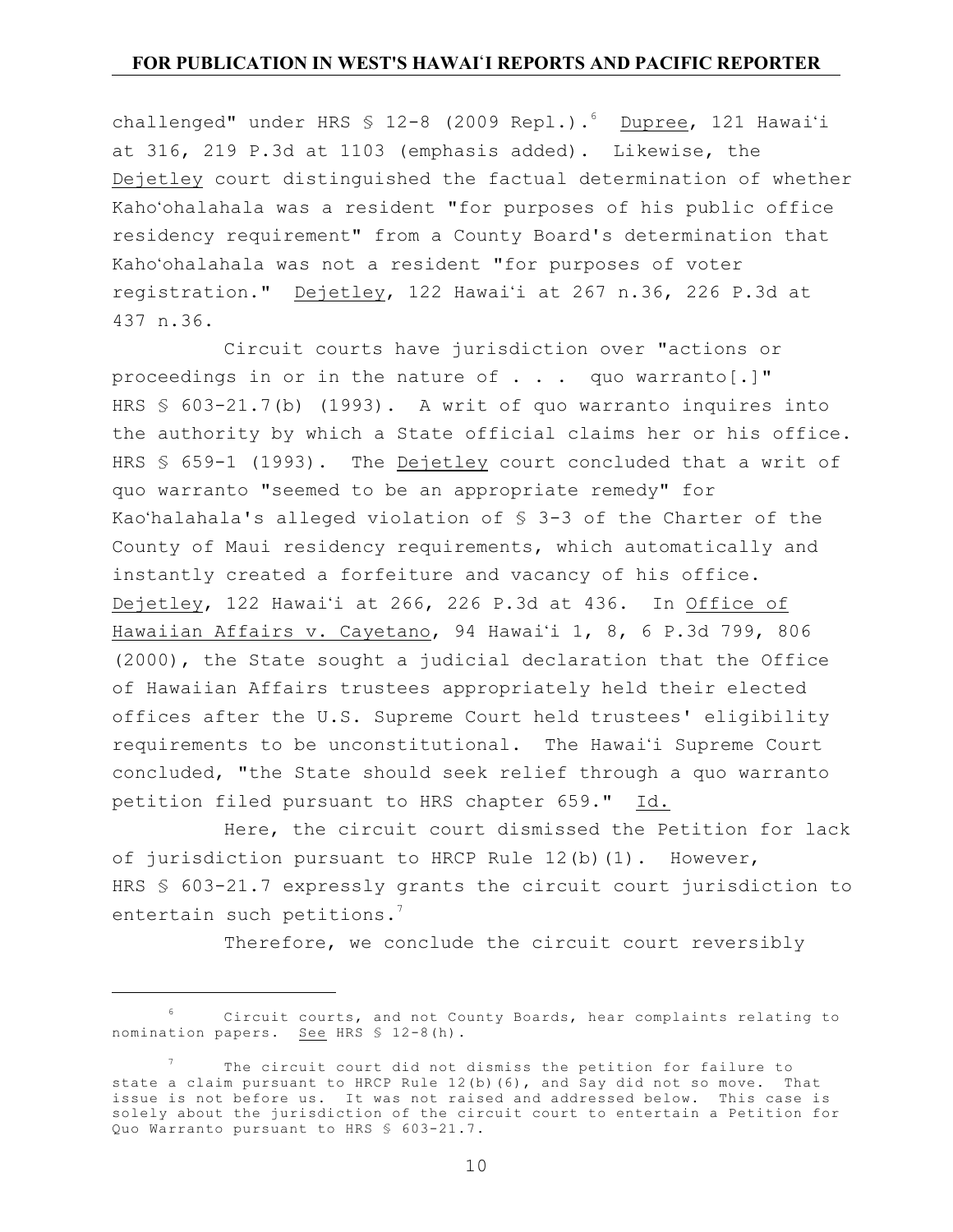challenged" under HRS  $\frac{12-8}{2009}$  Repl.).<sup>6</sup> Dupree, 121 Hawai'i at 316, 219 P.3d at 1103 (emphasis added). Likewise, the Dejetley court distinguished the factual determination of whether Kaho'ohalahala was a resident "for purposes of his public office residency requirement" from a County Board's determination that Kaho'ohalahala was not a resident "for purposes of voter registration." Dejetley, 122 Hawai'i at 267 n.36, 226 P.3d at 437 n.36.

Circuit courts have jurisdiction over "actions or proceedings in or in the nature of . . . quo warranto[.]" HRS § 603-21.7(b) (1993). A writ of quo warranto inquires into the authority by which a State official claims her or his office. HRS § 659-1 (1993). The Dejetley court concluded that a writ of quo warranto "seemed to be an appropriate remedy" for Kao'halahala's alleged violation of § 3-3 of the Charter of the County of Maui residency requirements, which automatically and instantly created a forfeiture and vacancy of his office. Dejetley, 122 Hawai'i at 266, 226 P.3d at 436. In Office of Hawaiian Affairs v. Cayetano, 94 Hawai'i 1, 8, 6 P.3d 799, 806 (2000), the State sought a judicial declaration that the Office of Hawaiian Affairs trustees appropriately held their elected offices after the U.S. Supreme Court held trustees' eligibility requirements to be unconstitutional. The Hawai'i Supreme Court concluded, "the State should seek relief through a quo warranto petition filed pursuant to HRS chapter 659." Id.

Here, the circuit court dismissed the Petition for lack of jurisdiction pursuant to HRCP Rule 12(b)(1). However, HRS § 603-21.7 expressly grants the circuit court jurisdiction to entertain such petitions.<sup>7</sup>

Therefore, we conclude the circuit court reversibly

<sup>6</sup>  Circuit courts, and not County Boards, hear complaints relating to nomination papers. See HRS § 12-8(h).

<sup>7</sup>  The circuit court did not dismiss the petition for failure to state a claim pursuant to HRCP Rule 12(b)(6), and Say did not so move. That issue is not before us. It was not raised and addressed below. This case is solely about the jurisdiction of the circuit court to entertain a Petition for Quo Warranto pursuant to HRS § 603-21.7.